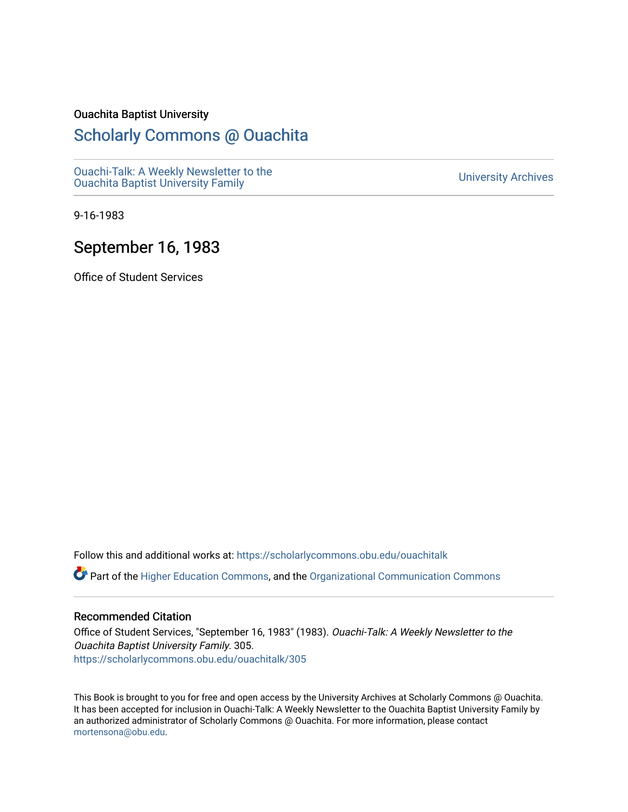#### Ouachita Baptist University

## [Scholarly Commons @ Ouachita](https://scholarlycommons.obu.edu/)

[Ouachi-Talk: A Weekly Newsletter to the](https://scholarlycommons.obu.edu/ouachitalk)  Ouachi-Taik. A weekly Newsletter to the community of the University Archives<br>[Ouachita Baptist University Family](https://scholarlycommons.obu.edu/ouachitalk)

9-16-1983

## September 16, 1983

Office of Student Services

Follow this and additional works at: [https://scholarlycommons.obu.edu/ouachitalk](https://scholarlycommons.obu.edu/ouachitalk?utm_source=scholarlycommons.obu.edu%2Fouachitalk%2F305&utm_medium=PDF&utm_campaign=PDFCoverPages) 

Part of the [Higher Education Commons,](http://network.bepress.com/hgg/discipline/1245?utm_source=scholarlycommons.obu.edu%2Fouachitalk%2F305&utm_medium=PDF&utm_campaign=PDFCoverPages) and the [Organizational Communication Commons](http://network.bepress.com/hgg/discipline/335?utm_source=scholarlycommons.obu.edu%2Fouachitalk%2F305&utm_medium=PDF&utm_campaign=PDFCoverPages)

### Recommended Citation

Office of Student Services, "September 16, 1983" (1983). Ouachi-Talk: A Weekly Newsletter to the Ouachita Baptist University Family. 305. [https://scholarlycommons.obu.edu/ouachitalk/305](https://scholarlycommons.obu.edu/ouachitalk/305?utm_source=scholarlycommons.obu.edu%2Fouachitalk%2F305&utm_medium=PDF&utm_campaign=PDFCoverPages) 

This Book is brought to you for free and open access by the University Archives at Scholarly Commons @ Ouachita. It has been accepted for inclusion in Ouachi-Talk: A Weekly Newsletter to the Ouachita Baptist University Family by an authorized administrator of Scholarly Commons @ Ouachita. For more information, please contact [mortensona@obu.edu.](mailto:mortensona@obu.edu)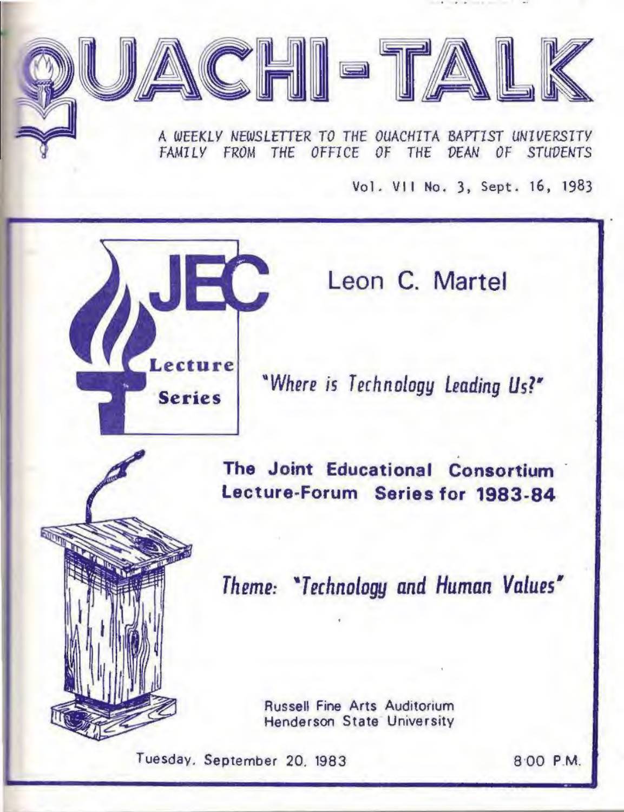A *WEEKLY NEWSLETTER TO* THE *OUACHITA BAPTIST UNIVERSITY*  FAMILY FROM THE OFFICE OF THE DEAN OF STUDENTS

 $\boxed{L}$ 

Vol. VII No. 3, Sept. 16, 1983



Leon C. Martel

*"Where is T echnolagy Leading Us?'* 

The Joint Educational Consortium Lecture·Forum Series for 1983·84

*Theme: •Technology and Human Values"* 

Russell Fine Arts Auditorium Henderson State University

Tuesday. September 20, 1983 800 P.M.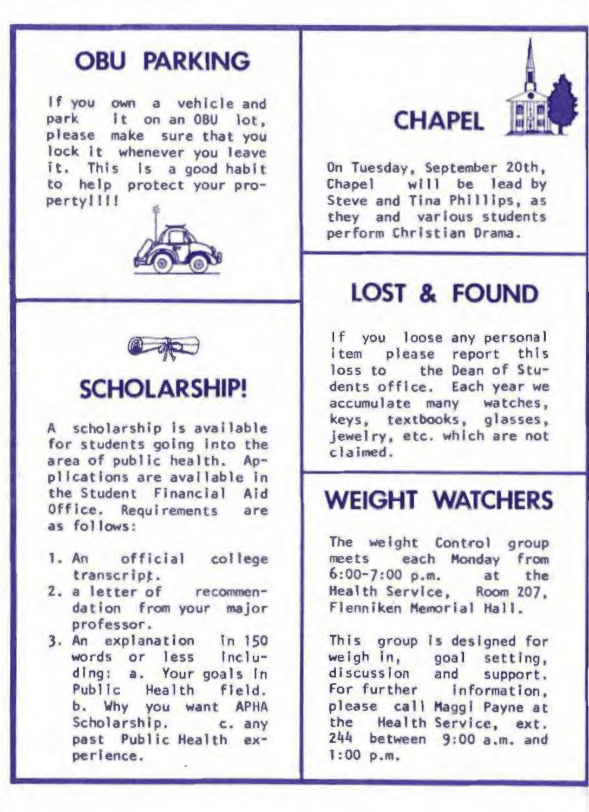## **OBU PARKING**

If you own a vehicle and park It on an OBU lot, please make sure that you lock it whenever you leave it. This Is a good habit to help protect your propertyllll





## **SCHOLARSHIP!**

A scholarship is available for students going Into the area of public health. Applications are available In the Student Financial Aid Office. Requirements are as follows:

- 1. An official college transcript.
- 2. a letter of recommendation from your major professor.
- 3. An explanation In 150 words or less Including: a. Your goals in Public Health field. b. Why you want APHA Scholarship. c. any past Public Health experlence.

# **CHAPEL**



On Tuesday, September 20th, Chapel will be lead by Steve and Tina Phillips, as they and various students perform Chrlstian Drama.

# **LOST & FOUND**

If you loose any personal item please report this loss to the Dean of Students office. Each year we accumulate many watches, keys, textbooks, glasses, jewelry, etc. which are not clained .

# **WEIGHT WATCHERS**

The weight Control group meets each Monday from 6:00-7:00 p.m. at the Health Service, Room 207, Flenniken Memorial Hall.

This group Is designed for weigh in, goal setting, discussion and support. For further Information, please call Maggi Payne at the Health Service, ext.  $244$  between  $9:00$  a.m. and 1:00 p.m.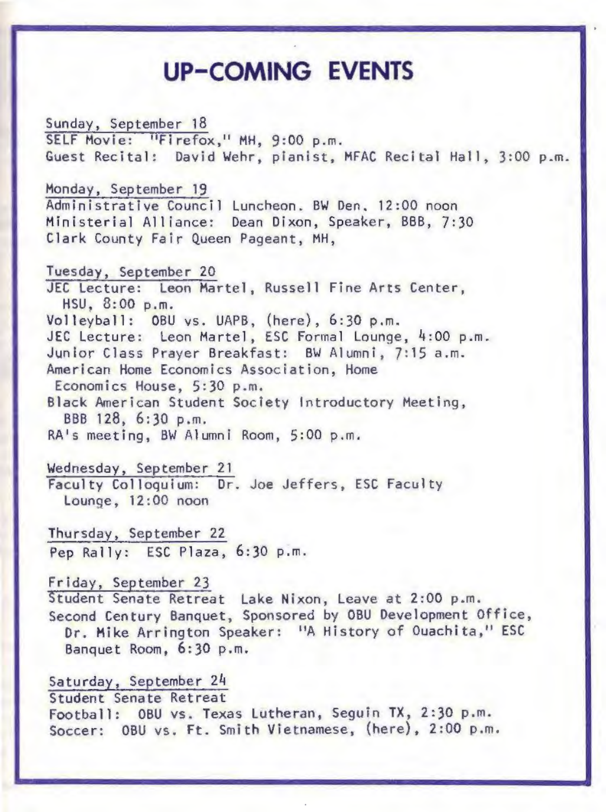## **UP-COMING EVENTS**

Sunday, September 18 SELF Movie: "Firefox," MH, 9:00 p.m. Guest Recital: David Wehr, pianist, MFAC Recital Hall, 3:00 p.m.

Monday, September 19 Administrative Council Luncheon. BW Den. 12:00 noon Mini sterial Alliance: Dean Dixon, Speaker, BBB, 7:30 Clark County Fair Queen Pageant, MH,

Tuesday, September 20 JEC Lecture: Leon Martel, Russell Fine Arts Center, HSU, 8:00 p.m. Volleyball: OBU ys. UAPB, (here), 6:30 p.m. JEC Lecture: Leon Martel, ESC Formal Lounge, 4:00 p.m. Junior Class Prayer Breakfast: BW Alumni, 7:15a.m. Ameri can Home Economics Association, Home Economics House, 5:30 p.m. Black American Student Society Introductory Meeting, BBB 128, 6:30 p.m. RA's meeting, BW Alumni Room, 5:00 p.m.

Wednesday, September 21 Faculty Colloquium: Dr. Joe Jeffers, ESC Faculty Lounge, 12:00 noon

Thursday, September 22 Pep Rally: ESC Plaza, 6:30 p.m.

Friday, September 23 Student Senate Retreat Lake Nixon, Leave at 2:00 p.m. Second Century Banquet, Sponsored by OBU Development Office, Dr. Mike Arrington Speaker: "A History of Ouachita," ESC Banquet Room, 6:30 p.m.

Saturday, September 24 Student Senate Retreat Football: OBU vs. Texas Lutheran, Seguin TX, 2:30 p.m. Soccer: OBU vs. Ft. Smith Vietnamese, (here), 2:00 p.m.